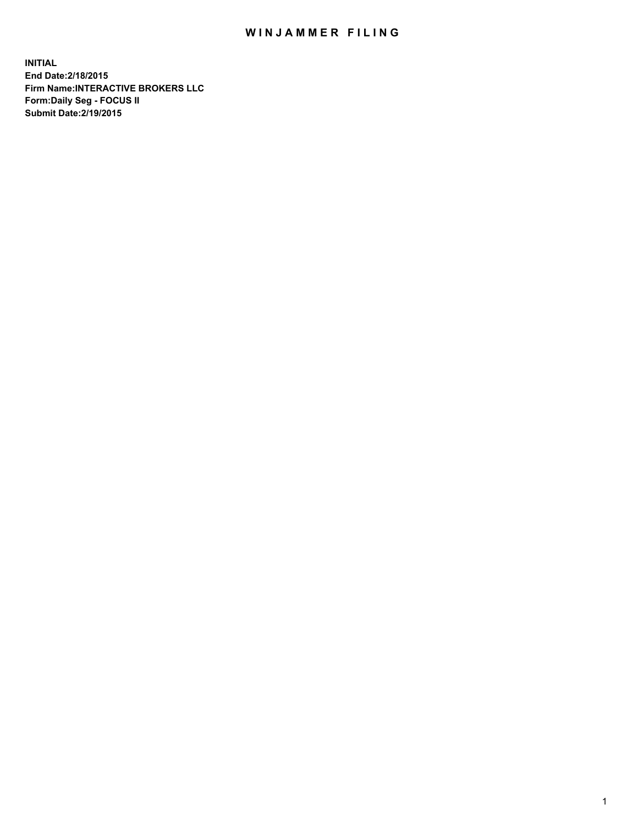## WIN JAMMER FILING

**INITIAL End Date:2/18/2015 Firm Name:INTERACTIVE BROKERS LLC Form:Daily Seg - FOCUS II Submit Date:2/19/2015**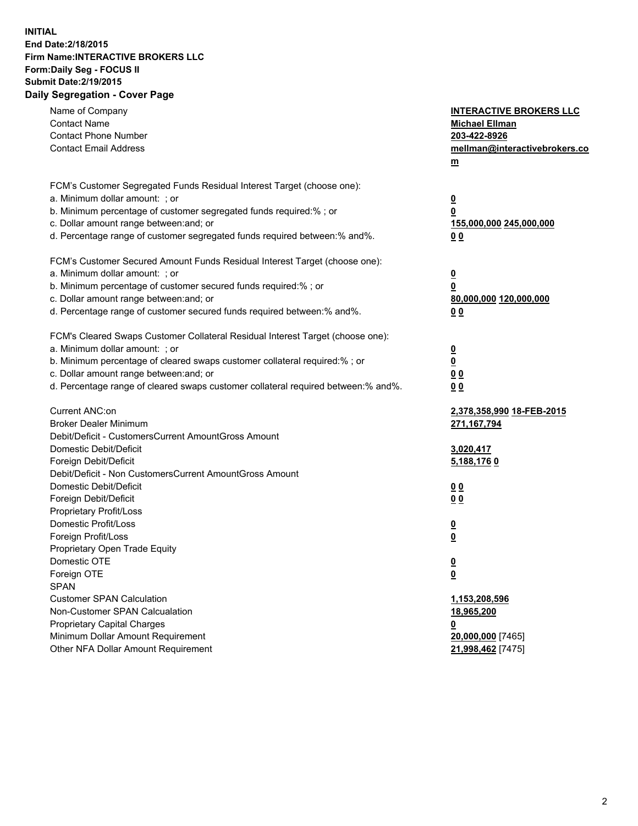## **INITIAL End Date:2/18/2015 Firm Name:INTERACTIVE BROKERS LLC Form:Daily Seg - FOCUS II Submit Date:2/19/2015 Daily Segregation - Cover Page**

| Name of Company<br><b>Contact Name</b><br><b>Contact Phone Number</b><br><b>Contact Email Address</b>                                                                                                                                                                                                                          | <b>INTERACTIVE BROKERS LLC</b><br><b>Michael Ellman</b><br>203-422-8926<br>mellman@interactivebrokers.co<br>$m$ |
|--------------------------------------------------------------------------------------------------------------------------------------------------------------------------------------------------------------------------------------------------------------------------------------------------------------------------------|-----------------------------------------------------------------------------------------------------------------|
| FCM's Customer Segregated Funds Residual Interest Target (choose one):<br>a. Minimum dollar amount: ; or<br>b. Minimum percentage of customer segregated funds required:% ; or<br>c. Dollar amount range between: and; or<br>d. Percentage range of customer segregated funds required between:% and%.                         | $\overline{\mathbf{0}}$<br>0<br>155,000,000 245,000,000<br>0 <sub>0</sub>                                       |
| FCM's Customer Secured Amount Funds Residual Interest Target (choose one):<br>a. Minimum dollar amount: ; or<br>b. Minimum percentage of customer secured funds required:% ; or<br>c. Dollar amount range between: and; or<br>d. Percentage range of customer secured funds required between:% and%.                           | $\overline{\mathbf{0}}$<br>0<br>80,000,000 120,000,000<br>0 <sub>0</sub>                                        |
| FCM's Cleared Swaps Customer Collateral Residual Interest Target (choose one):<br>a. Minimum dollar amount: ; or<br>b. Minimum percentage of cleared swaps customer collateral required:% ; or<br>c. Dollar amount range between: and; or<br>d. Percentage range of cleared swaps customer collateral required between:% and%. | $\overline{\mathbf{0}}$<br>$\underline{\mathbf{0}}$<br>0 <sub>0</sub><br>0 <sub>0</sub>                         |
| Current ANC:on<br><b>Broker Dealer Minimum</b><br>Debit/Deficit - CustomersCurrent AmountGross Amount<br>Domestic Debit/Deficit                                                                                                                                                                                                | 2,378,358,990 18-FEB-2015<br>271, 167, 794<br>3,020,417                                                         |
| Foreign Debit/Deficit<br>Debit/Deficit - Non CustomersCurrent AmountGross Amount<br>Domestic Debit/Deficit<br>Foreign Debit/Deficit<br>Proprietary Profit/Loss<br>Domestic Profit/Loss                                                                                                                                         | 5,188,1760<br>0 <sub>0</sub><br>0 <sub>0</sub><br>$\overline{\mathbf{0}}$                                       |
| Foreign Profit/Loss<br>Proprietary Open Trade Equity<br>Domestic OTE<br>Foreign OTE<br><b>SPAN</b><br><b>Customer SPAN Calculation</b>                                                                                                                                                                                         | $\overline{\mathbf{0}}$<br>$\underline{\mathbf{0}}$<br><u>0</u><br>1,153,208,596                                |
| Non-Customer SPAN Calcualation<br>Proprietary Capital Charges<br>Minimum Dollar Amount Requirement<br>Other NFA Dollar Amount Requirement                                                                                                                                                                                      | 18,965,200<br><u>0</u><br>20,000,000 [7465]<br>21,998,462 [7475]                                                |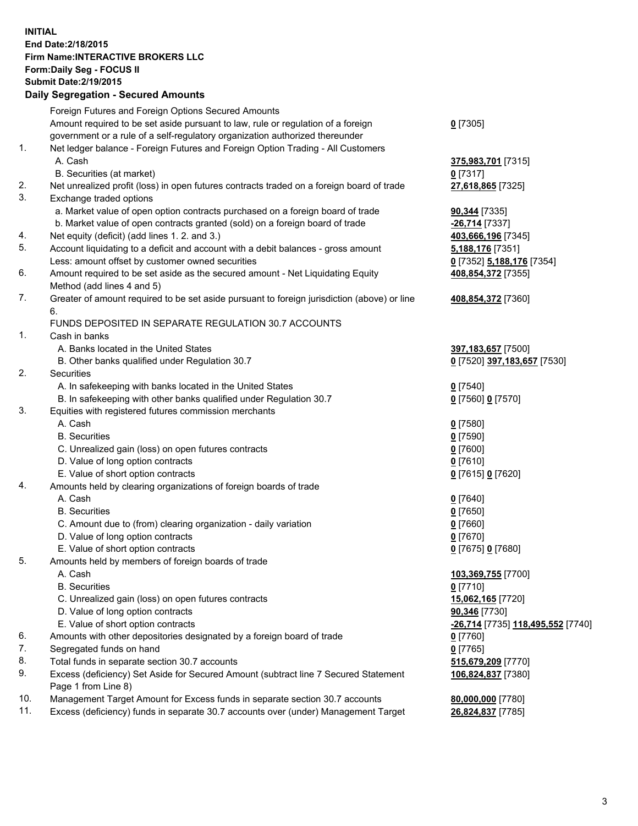## **INITIAL End Date:2/18/2015 Firm Name:INTERACTIVE BROKERS LLC Form:Daily Seg - FOCUS II Submit Date:2/19/2015 Daily Segregation - Secured Amounts**

| Daily Jegiegation - Jeculed Aniounts                                                        |                                                                                    |
|---------------------------------------------------------------------------------------------|------------------------------------------------------------------------------------|
| Foreign Futures and Foreign Options Secured Amounts                                         |                                                                                    |
| Amount required to be set aside pursuant to law, rule or regulation of a foreign            | $0$ [7305]                                                                         |
| government or a rule of a self-regulatory organization authorized thereunder                |                                                                                    |
| Net ledger balance - Foreign Futures and Foreign Option Trading - All Customers             |                                                                                    |
| A. Cash                                                                                     | 375,983,701 [7315]                                                                 |
| B. Securities (at market)                                                                   | $0$ [7317]                                                                         |
| Net unrealized profit (loss) in open futures contracts traded on a foreign board of trade   | 27,618,865 [7325]                                                                  |
| Exchange traded options                                                                     |                                                                                    |
| a. Market value of open option contracts purchased on a foreign board of trade              | 90,344 [7335]                                                                      |
| b. Market value of open contracts granted (sold) on a foreign board of trade                | $-26,714$ [7337]                                                                   |
| Net equity (deficit) (add lines 1.2. and 3.)                                                | 403,666,196 [7345]                                                                 |
| Account liquidating to a deficit and account with a debit balances - gross amount           | <b>5,188,176</b> [7351]                                                            |
| Less: amount offset by customer owned securities                                            | 0 [7352] 5,188,176 [7354]                                                          |
| Amount required to be set aside as the secured amount - Net Liquidating Equity              | 408,854,372 [7355]                                                                 |
| Method (add lines 4 and 5)                                                                  |                                                                                    |
| Greater of amount required to be set aside pursuant to foreign jurisdiction (above) or line | 408,854,372 [7360]                                                                 |
| 6.                                                                                          |                                                                                    |
| FUNDS DEPOSITED IN SEPARATE REGULATION 30.7 ACCOUNTS                                        |                                                                                    |
| Cash in banks                                                                               |                                                                                    |
| A. Banks located in the United States                                                       | 397, 183, 657 [7500]                                                               |
| B. Other banks qualified under Regulation 30.7                                              | 0 [7520] 397,183,657 [7530]                                                        |
| Securities                                                                                  |                                                                                    |
| A. In safekeeping with banks located in the United States                                   | $0$ [7540]                                                                         |
| B. In safekeeping with other banks qualified under Regulation 30.7                          | 0 [7560] 0 [7570]                                                                  |
| Equities with registered futures commission merchants                                       |                                                                                    |
| A. Cash                                                                                     | $0$ [7580]                                                                         |
| <b>B.</b> Securities                                                                        | $0$ [7590]                                                                         |
| C. Unrealized gain (loss) on open futures contracts                                         | $0$ [7600]                                                                         |
| D. Value of long option contracts                                                           | $0$ [7610]                                                                         |
| E. Value of short option contracts                                                          | 0 [7615] 0 [7620]                                                                  |
| Amounts held by clearing organizations of foreign boards of trade                           |                                                                                    |
| A. Cash                                                                                     | $0$ [7640]                                                                         |
| <b>B.</b> Securities                                                                        | $0$ [7650]                                                                         |
| C. Amount due to (from) clearing organization - daily variation                             | $0$ [7660]                                                                         |
| D. Value of long option contracts                                                           | $0$ [7670]                                                                         |
| E. Value of short option contracts                                                          | 0 [7675] 0 [7680]                                                                  |
| Amounts held by members of foreign boards of trade                                          |                                                                                    |
| A. Cash                                                                                     | 103,369,755 [7700]                                                                 |
| <b>B.</b> Securities                                                                        | $0$ [7710]                                                                         |
| C. Unrealized gain (loss) on open futures contracts                                         | 15,062,165 [7720]                                                                  |
| D. Value of long option contracts                                                           | 90,346 [7730]                                                                      |
| E. Value of short option contracts                                                          | -26,714 [7735] 118,495,552 [7740]                                                  |
| Amounts with other depositories designated by a foreign board of trade                      | $0$ [7760]                                                                         |
| Segregated funds on hand                                                                    | $0$ [7765]                                                                         |
| Total funds in separate section 30.7 accounts                                               | 515,679,209 [7770]                                                                 |
| Excess (deficiency) Set Aside for Secured Amount (subtract line 7 Secured Statement         | 106,824,837 [7380]                                                                 |
| Page 1 from Line 8)                                                                         |                                                                                    |
| Management Target Amount for Excess funds in separate section 30.7 accounts                 | 80,000,000 [7780]                                                                  |
|                                                                                             | 26,824,837 [7785]                                                                  |
|                                                                                             | Excess (deficiency) funds in separate 30.7 accounts over (under) Management Target |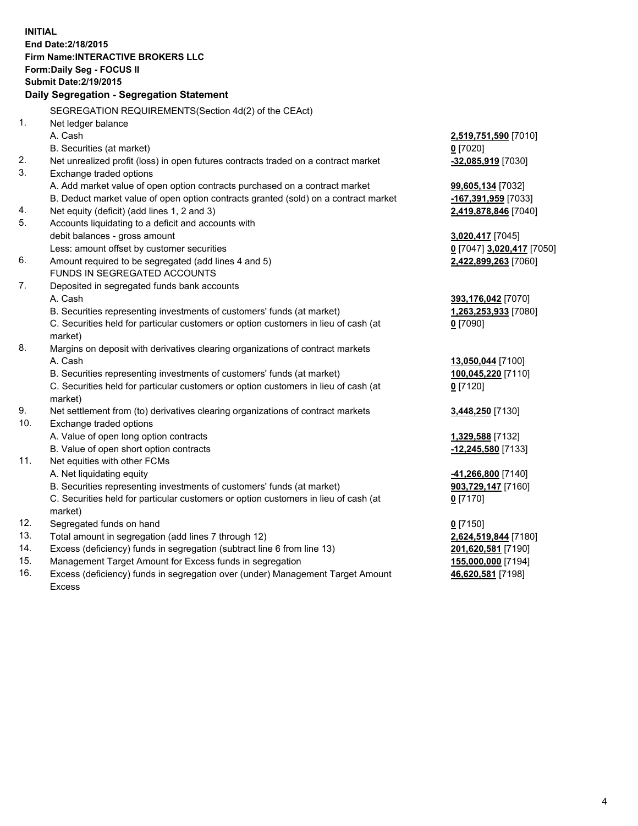**INITIAL End Date:2/18/2015 Firm Name:INTERACTIVE BROKERS LLC Form:Daily Seg - FOCUS II Submit Date:2/19/2015 Daily Segregation - Segregation Statement** SEGREGATION REQUIREMENTS(Section 4d(2) of the CEAct) 1. Net ledger balance A. Cash **2,519,751,590** [7010] B. Securities (at market) **0** [7020] 2. Net unrealized profit (loss) in open futures contracts traded on a contract market **-32,085,919** [7030] 3. Exchange traded options A. Add market value of open option contracts purchased on a contract market **99,605,134** [7032] B. Deduct market value of open option contracts granted (sold) on a contract market **-167,391,959** [7033] 4. Net equity (deficit) (add lines 1, 2 and 3) **2,419,878,846** [7040] 5. Accounts liquidating to a deficit and accounts with debit balances - gross amount **3,020,417** [7045] Less: amount offset by customer securities **0** [7047] **3,020,417** [7050] 6. Amount required to be segregated (add lines 4 and 5) **2,422,899,263** [7060] FUNDS IN SEGREGATED ACCOUNTS 7. Deposited in segregated funds bank accounts A. Cash **393,176,042** [7070] B. Securities representing investments of customers' funds (at market) **1,263,253,933** [7080] C. Securities held for particular customers or option customers in lieu of cash (at market) **0** [7090] 8. Margins on deposit with derivatives clearing organizations of contract markets A. Cash **13,050,044** [7100] B. Securities representing investments of customers' funds (at market) **100,045,220** [7110] C. Securities held for particular customers or option customers in lieu of cash (at market) **0** [7120] 9. Net settlement from (to) derivatives clearing organizations of contract markets **3,448,250** [7130] 10. Exchange traded options A. Value of open long option contracts **1,329,588** [7132] B. Value of open short option contracts **-12,245,580** [7133] 11. Net equities with other FCMs A. Net liquidating equity **-41,266,800** [7140] B. Securities representing investments of customers' funds (at market) **903,729,147** [7160] C. Securities held for particular customers or option customers in lieu of cash (at market) **0** [7170] 12. Segregated funds on hand **0** [7150] 13. Total amount in segregation (add lines 7 through 12) **2,624,519,844** [7180] 14. Excess (deficiency) funds in segregation (subtract line 6 from line 13) **201,620,581** [7190] 15. Management Target Amount for Excess funds in segregation **155,000,000** [7194]

16. Excess (deficiency) funds in segregation over (under) Management Target Amount Excess

**46,620,581** [7198]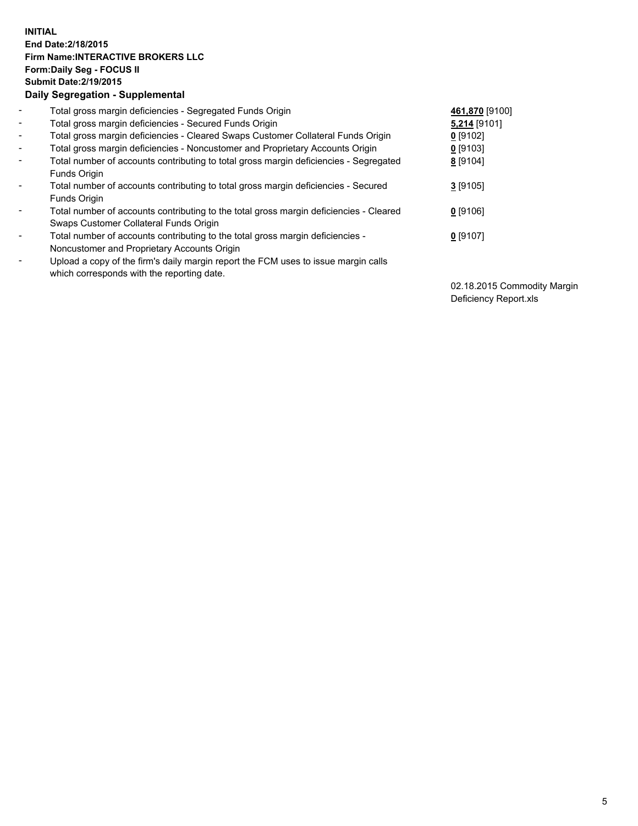## **INITIAL End Date:2/18/2015 Firm Name:INTERACTIVE BROKERS LLC Form:Daily Seg - FOCUS II Submit Date:2/19/2015 Daily Segregation - Supplemental**

| $\blacksquare$           | Total gross margin deficiencies - Segregated Funds Origin                              | 461,870 [9100] |
|--------------------------|----------------------------------------------------------------------------------------|----------------|
| $\blacksquare$           | Total gross margin deficiencies - Secured Funds Origin                                 | 5,214 [9101]   |
| $\blacksquare$           | Total gross margin deficiencies - Cleared Swaps Customer Collateral Funds Origin       | $0$ [9102]     |
| $\blacksquare$           | Total gross margin deficiencies - Noncustomer and Proprietary Accounts Origin          | $0$ [9103]     |
| $\blacksquare$           | Total number of accounts contributing to total gross margin deficiencies - Segregated  | 8 [9104]       |
|                          | <b>Funds Origin</b>                                                                    |                |
| $\blacksquare$           | Total number of accounts contributing to total gross margin deficiencies - Secured     | $3$ [9105]     |
|                          | Funds Origin                                                                           |                |
| $\overline{\phantom{a}}$ | Total number of accounts contributing to the total gross margin deficiencies - Cleared | $0$ [9106]     |
|                          | Swaps Customer Collateral Funds Origin                                                 |                |
| $\blacksquare$           | Total number of accounts contributing to the total gross margin deficiencies -         | $0$ [9107]     |
|                          | Noncustomer and Proprietary Accounts Origin                                            |                |
| $\blacksquare$           | Upload a copy of the firm's daily margin report the FCM uses to issue margin calls     |                |
|                          | which corresponds with the reporting date.                                             |                |

02.18.2015 Commodity Margin Deficiency Report.xls